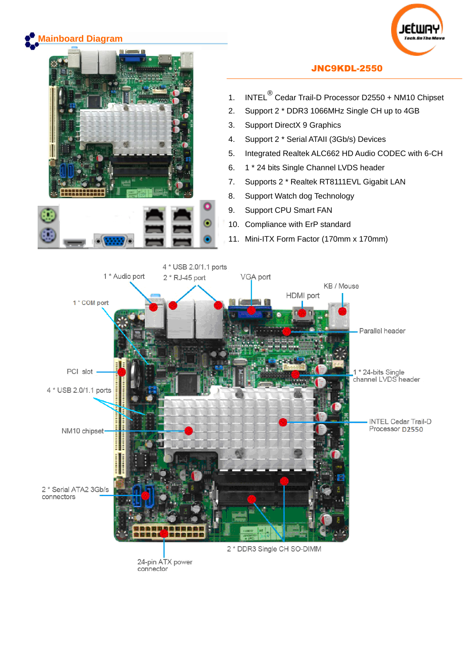